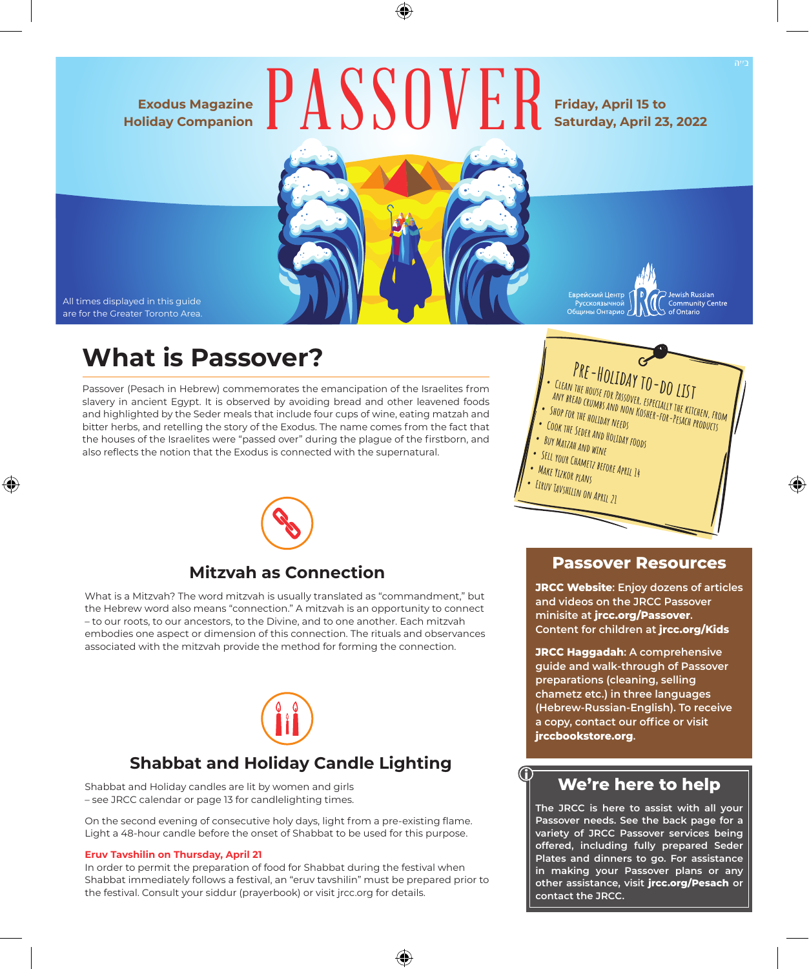### **Exodus Magazine Holiday Companion**



#### **Friday, April 15 to Saturday, April 23, 2022**



All times displayed in this guide are for the Greater Toronto Area.

## **What is Passover?**

Passover (Pesach in Hebrew) commemorates the emancipation of the Israelites from slavery in ancient Egypt. It is observed by avoiding bread and other leavened foods and highlighted by the Seder meals that include four cups of wine, eating matzah and bitter herbs, and retelling the story of the Exodus. The name comes from the fact that the houses of the Israelites were "passed over" during the plague of the firstborn, and also reflects the notion that the Exodus is connected with the supernatural.



## **Mitzvah as Connection**

What is a Mitzvah? The word mitzvah is usually translated as "commandment," but the Hebrew word also means "connection." A mitzvah is an opportunity to connect – to our roots, to our ancestors, to the Divine, and to one another. Each mitzvah embodies one aspect or dimension of this connection. The rituals and observances associated with the mitzvah provide the method for forming the connection.



## **Shabbat and Holiday Candle Lighting**

Shabbat and Holiday candles are lit by women and girls – see JRCC calendar or page 13 for candlelighting times.

On the second evening of consecutive holy days, light from a pre-existing flame. Light a 48-hour candle before the onset of Shabbat to be used for this purpose.

#### **Eruv Tavshilin on Thursday, April 21**

In order to permit the preparation of food for Shabbat during the festival when Shabbat immediately follows a festival, an "eruv tavshilin" must be prepared prior to the festival. Consult your siddur (prayerbook) or visit jrcc.org for details.

**PRE-HOLIDAY TO-DO LIST**<br>**•• CLEAN THE HOUSE FOR PASSOVER, ESPECIALLY THE KITCHEN, FROM any bread crumbs and non-for-formation for National Fish**<br>ANY BREAD CRUMBS AND NON KOSHER-FOR-PESACH PRODUCTS **• Shop for the holiday needs • Cook the Seder and Holiday foods • Buy Matzah and wine • Sell your Chametz before April 14 • Make Yizkor plans Eiruv Tavshilin on April 21**

Jewish Russian

Community Centre<br>of Ontario

Еврейский Центр

русскоязычной<br>Общины Онтарио

#### **Passover Resources**

**JRCC Website: Enjoy dozens of articles and videos on the JRCC Passover minisite at jrcc.org/Passover. Content for children at jrcc.org/Kids**

**JRCC Haggadah: A comprehensive guide and walk-through of Passover preparations (cleaning, selling chametz etc.) in three languages (Hebrew-Russian-English). To receive a copy, contact our office or visit jrccbookstore.org.**

## **We're here to help**

**The JRCC is here to assist with all your Passover needs. See the back page for a variety of JRCC Passover services being offered, including fully prepared Seder Plates and dinners to go. For assistance in making your Passover plans or any other assistance, visit jrcc.org/Pesach or contact the JRCC.**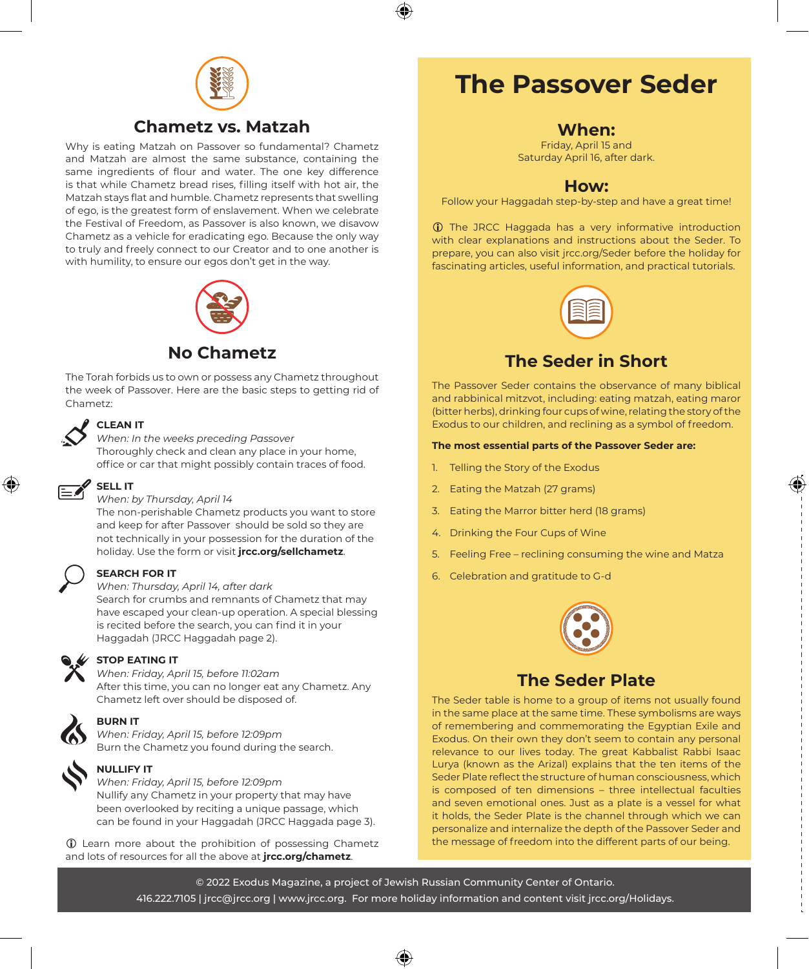

## **Chametz vs. Matzah**

Why is eating Matzah on Passover so fundamental? Chametz and Matzah are almost the same substance, containing the same ingredients of flour and water. The one key difference is that while Chametz bread rises, filling itself with hot air, the Matzah stays flat and humble. Chametz represents that swelling of ego, is the greatest form of enslavement. When we celebrate the Festival of Freedom, as Passover is also known, we disavow Chametz as a vehicle for eradicating ego. Because the only way to truly and freely connect to our Creator and to one another is with humility, to ensure our egos don't get in the way.



## **No Chametz**

The Torah forbids us to own or possess any Chametz throughout the week of Passover. Here are the basic steps to getting rid of Chametz:



#### **CLEAN IT**

*When: In the weeks preceding Passover*  Thoroughly check and clean any place in your home, office or car that might possibly contain traces of food.



#### *When: by Thursday, April 14*

The non-perishable Chametz products you want to store and keep for after Passover should be sold so they are not technically in your possession for the duration of the holiday. Use the form or visit **jrcc.org/sellchametz**.



#### **SEARCH FOR IT**

#### *When: Thursday, April 14, after dark*

Search for crumbs and remnants of Chametz that may have escaped your clean-up operation. A special blessing is recited before the search, you can find it in your Haggadah (JRCC Haggadah page 2).



#### **STOP EATING IT**

*When: Friday, April 15, before 11:02am*  After this time, you can no longer eat any Chametz. Any Chametz left over should be disposed of.



### **BURN IT**

*When: Friday, April 15, before 12:09pm*  Burn the Chametz you found during the search.



## **NULLIFY IT**

*When: Friday, April 15, before 12:09pm*  Nullify any Chametz in your property that may have been overlooked by reciting a unique passage, which can be found in your Haggadah (JRCC Haggada page 3).

 $\circled{1}$  Learn more about the prohibition of possessing Chametz and lots of resources for all the above at **jrcc.org/chametz**.

## **The Passover Seder**

#### **When:**

Friday, April 15 and Saturday April 16, after dark.

### **How:**

Follow your Haggadah step-by-step and have a great time!

**1** The JRCC Haggada has a very informative introduction with clear explanations and instructions about the Seder. To prepare, you can also visit jrcc.org/Seder before the holiday for fascinating articles, useful information, and practical tutorials.



## **The Seder in Short**

The Passover Seder contains the observance of many biblical and rabbinical mitzvot, including: eating matzah, eating maror (bitter herbs), drinking four cups of wine, relating the story of the Exodus to our children, and reclining as a symbol of freedom.

#### **The most essential parts of the Passover Seder are:**

- 1. Telling the Story of the Exodus
- 2. Eating the Matzah (27 grams)
- 3. Eating the Marror bitter herd (18 grams)
- 4. Drinking the Four Cups of Wine
- 5. Feeling Free reclining consuming the wine and Matza
- 6. Celebration and gratitude to G-d



### **The Seder Plate**

The Seder table is home to a group of items not usually found in the same place at the same time. These symbolisms are ways of remembering and commemorating the Egyptian Exile and Exodus. On their own they don't seem to contain any personal relevance to our lives today. The great Kabbalist Rabbi Isaac Lurya (known as the Arizal) explains that the ten items of the Seder Plate reflect the structure of human consciousness, which is composed of ten dimensions – three intellectual faculties and seven emotional ones. Just as a plate is a vessel for what it holds, the Seder Plate is the channel through which we can personalize and internalize the depth of the Passover Seder and the message of freedom into the different parts of our being.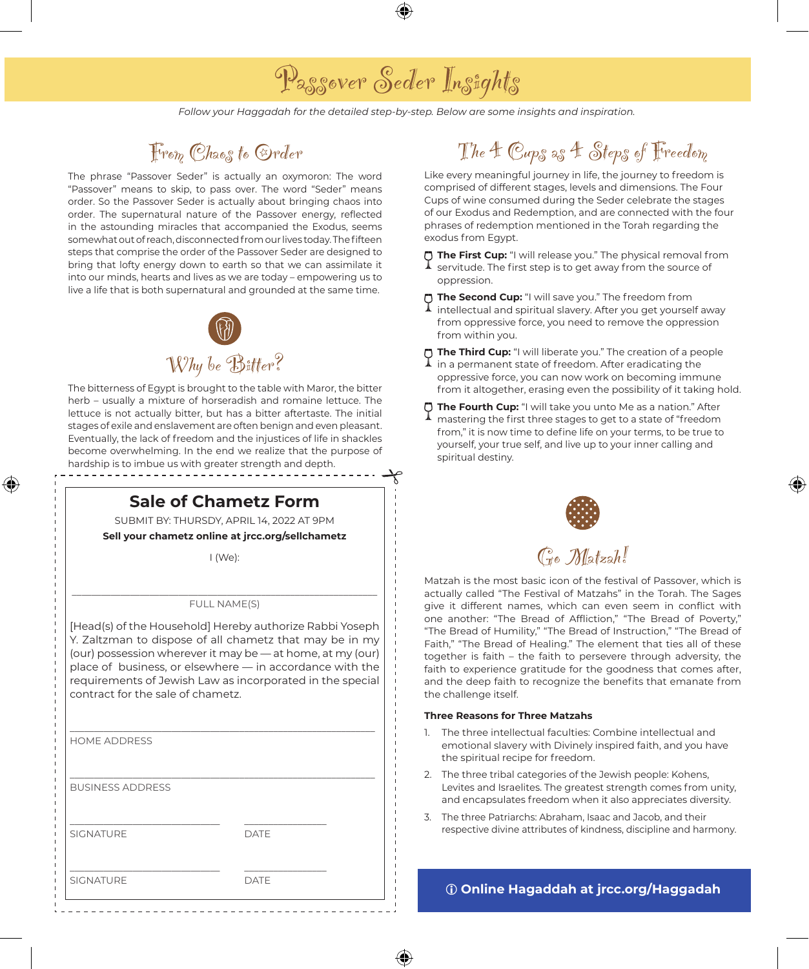## Passover Seder Insights

*Follow your Haggadah for the detailed step-by-step. Below are some insights and inspiration.*

## From Chaos to Order

The phrase "Passover Seder" is actually an oxymoron: The word "Passover" means to skip, to pass over. The word "Seder" means order. So the Passover Seder is actually about bringing chaos into order. The supernatural nature of the Passover energy, reflected in the astounding miracles that accompanied the Exodus, seems somewhat out of reach, disconnected from our lives today. The fifteen steps that comprise the order of the Passover Seder are designed to bring that lofty energy down to earth so that we can assimilate it into our minds, hearts and lives as we are today – empowering us to live a life that is both supernatural and grounded at the same time.



The bitterness of Egypt is brought to the table with Maror, the bitter herb – usually a mixture of horseradish and romaine lettuce. The lettuce is not actually bitter, but has a bitter aftertaste. The initial stages of exile and enslavement are often benign and even pleasant. Eventually, the lack of freedom and the injustices of life in shackles become overwhelming. In the end we realize that the purpose of hardship is to imbue us with greater strength and depth.

## **Sale of Chametz Form**

SUBMIT BY: THURSDY, APRIL 14, 2022 AT 9PM

**Sell your chametz online at jrcc.org/sellchametz**

I (We):

#### \_\_\_\_\_\_\_\_\_\_\_\_\_\_\_\_\_\_\_\_\_\_\_\_\_\_\_\_\_\_\_\_\_\_\_\_\_\_\_\_\_\_\_\_\_\_\_\_\_\_\_\_\_\_\_\_\_\_\_\_\_\_\_ FULL NAME(S)

[Head(s) of the Household] Hereby authorize Rabbi Yoseph Y. Zaltzman to dispose of all chametz that may be in my (our) possession wherever it may be — at home, at my (our) place of business, or elsewhere — in accordance with the requirements of Jewish Law as incorporated in the special contract for the sale of chametz.

| <b>HOME ADDRESS</b>     |             |  |
|-------------------------|-------------|--|
|                         |             |  |
|                         |             |  |
| <b>BUSINESS ADDRESS</b> |             |  |
|                         |             |  |
|                         |             |  |
| <b>SIGNATURE</b>        | <b>DATE</b> |  |
|                         |             |  |
|                         |             |  |
| <b>SIGNATURE</b>        | <b>DATE</b> |  |
|                         |             |  |

## The 4 Cups as 4 Steps of Freedom

Like every meaningful journey in life, the journey to freedom is comprised of different stages, levels and dimensions. The Four Cups of wine consumed during the Seder celebrate the stages of our Exodus and Redemption, and are connected with the four phrases of redemption mentioned in the Torah regarding the exodus from Egypt.

**The First Cup:** "I will release you." The physical removal from

servitude. The first step is to get away from the source of oppression.

**The Second Cup:** "I will save you." The freedom from

- intellectual and spiritual slavery. After you get yourself away from oppressive force, you need to remove the oppression from within you.
- **The Third Cup:** "I will liberate you." The creation of a people <br>**1** in a permanent state of first of the state of the state of the state of the state of the state of the state of the state of the state of the state of th in a permanent state of freedom. After eradicating the oppressive force, you can now work on becoming immune from it altogether, erasing even the possibility of it taking hold.
- **The Fourth Cup:** "I will take you unto Me as a nation." After mastering the first three stages to get to a state of "freedom from," it is now time to define life on your terms, to be true to yourself, your true self, and live up to your inner calling and spiritual destiny.



Go Matzah!

Matzah is the most basic icon of the festival of Passover, which is actually called "The Festival of Matzahs" in the Torah. The Sages give it different names, which can even seem in conflict with one another: "The Bread of Affliction," "The Bread of Poverty," "The Bread of Humility," "The Bread of Instruction," "The Bread of Faith," "The Bread of Healing." The element that ties all of these together is faith – the faith to persevere through adversity, the faith to experience gratitude for the goodness that comes after, and the deep faith to recognize the benefits that emanate from the challenge itself.

#### **Three Reasons for Three Matzahs**

- 1. The three intellectual faculties: Combine intellectual and emotional slavery with Divinely inspired faith, and you have the spiritual recipe for freedom.
- 2. The three tribal categories of the Jewish people: Kohens, Levites and Israelites. The greatest strength comes from unity, and encapsulates freedom when it also appreciates diversity.
- 3. The three Patriarchs: Abraham, Isaac and Jacob, and their respective divine attributes of kindness, discipline and harmony.

i **Online Hagaddah at jrcc.org/Haggadah**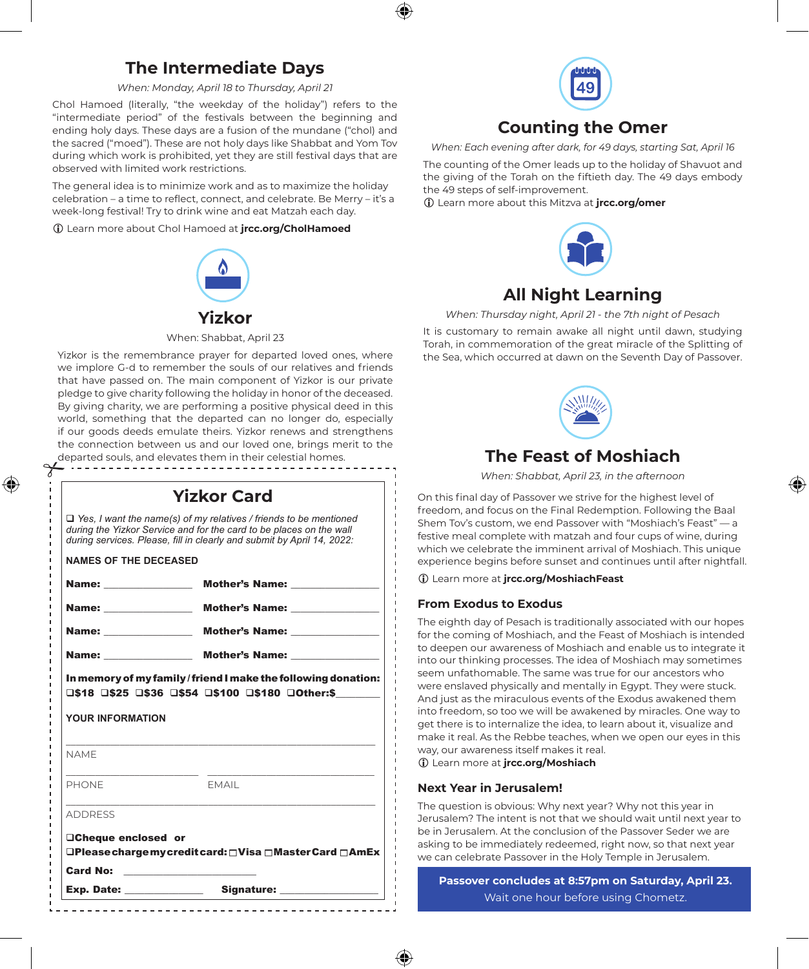## **The Intermediate Days**

*When: Monday, April 18 to Thursday, April 21*

Chol Hamoed (literally, "the weekday of the holiday") refers to the "intermediate period" of the festivals between the beginning and ending holy days. These days are a fusion of the mundane ("chol) and the sacred ("moed"). These are not holy days like Shabbat and Yom Tov during which work is prohibited, yet they are still festival days that are observed with limited work restrictions.

The general idea is to minimize work and as to maximize the holiday celebration – a time to reflect, connect, and celebrate. Be Merry – it's a week-long festival! Try to drink wine and eat Matzah each day.

i Learn more about Chol Hamoed at **jrcc.org/CholHamoed**



When: Shabbat, April 23

Yizkor is the remembrance prayer for departed loved ones, where we implore G-d to remember the souls of our relatives and friends that have passed on. The main component of Yizkor is our private pledge to give charity following the holiday in honor of the deceased. By giving charity, we are performing a positive physical deed in this world, something that the departed can no longer do, especially if our goods deeds emulate theirs. Yizkor renews and strengthens the connection between us and our loved one, brings merit to the departed souls, and elevates them in their celestial homes.

|                                          | <b>Yizkor Card</b>                                                                                                                                                                                                        |
|------------------------------------------|---------------------------------------------------------------------------------------------------------------------------------------------------------------------------------------------------------------------------|
|                                          | $\Box$ Yes, I want the name(s) of my relatives / friends to be mentioned<br>during the Yizkor Service and for the card to be places on the wall<br>during services. Please, fill in clearly and submit by April 14, 2022: |
| <b>NAMES OF THE DECEASED</b>             |                                                                                                                                                                                                                           |
|                                          | Name: Mother's Name:                                                                                                                                                                                                      |
|                                          |                                                                                                                                                                                                                           |
|                                          | Name: Mother's Name:                                                                                                                                                                                                      |
|                                          | Name: Mother's Name:                                                                                                                                                                                                      |
|                                          | In memory of my family/friend I make the following donation:<br>□\$18 □\$25 □\$36 □\$54 □\$100 □\$180 □Other:\$                                                                                                           |
|                                          |                                                                                                                                                                                                                           |
|                                          |                                                                                                                                                                                                                           |
| YOUR INFORMATION<br><b>NAMF</b><br>PHONE | <b>FMAIL</b>                                                                                                                                                                                                              |
|                                          |                                                                                                                                                                                                                           |
| <b>ADDRESS</b><br>□Cheque enclosed or    | <b>□Please charge my credit card:</b> □Visa □Master Card □AmEx                                                                                                                                                            |
| Card No:                                 |                                                                                                                                                                                                                           |



## **Counting the Omer**

*When: Each evening after dark, for 49 days, starting Sat, April 16*

The counting of the Omer leads up to the holiday of Shavuot and the giving of the Torah on the fiftieth day. The 49 days embody the 49 steps of self-improvement.

i Learn more about this Mitzva at **jrcc.org/omer**



## **All Night Learning**

*When: Thursday night, April 21 - the 7th night of Pesach*

It is customary to remain awake all night until dawn, studying Torah, in commemoration of the great miracle of the Splitting of the Sea, which occurred at dawn on the Seventh Day of Passover.



*When: Shabbat, April 23, in the afternoon*

On this final day of Passover we strive for the highest level of freedom, and focus on the Final Redemption. Following the Baal Shem Tov's custom, we end Passover with "Moshiach's Feast" — a festive meal complete with matzah and four cups of wine, during which we celebrate the imminent arrival of Moshiach. This unique experience begins before sunset and continues until after nightfall.

i Learn more at **jrcc.org/MoshiachFeast**

#### **From Exodus to Exodus**

The eighth day of Pesach is traditionally associated with our hopes for the coming of Moshiach, and the Feast of Moshiach is intended to deepen our awareness of Moshiach and enable us to integrate it into our thinking processes. The idea of Moshiach may sometimes seem unfathomable. The same was true for our ancestors who were enslaved physically and mentally in Egypt. They were stuck. And just as the miraculous events of the Exodus awakened them into freedom, so too we will be awakened by miracles. One way to get there is to internalize the idea, to learn about it, visualize and make it real. As the Rebbe teaches, when we open our eyes in this way, our awareness itself makes it real. i Learn more at **jrcc.org/Moshiach**

**Next Year in Jerusalem!**

The question is obvious: Why next year? Why not this year in Jerusalem? The intent is not that we should wait until next year to be in Jerusalem. At the conclusion of the Passover Seder we are asking to be immediately redeemed, right now, so that next year we can celebrate Passover in the Holy Temple in Jerusalem.

**Passover concludes at 8:57pm on Saturday, April 23.** Wait one hour before using Chometz.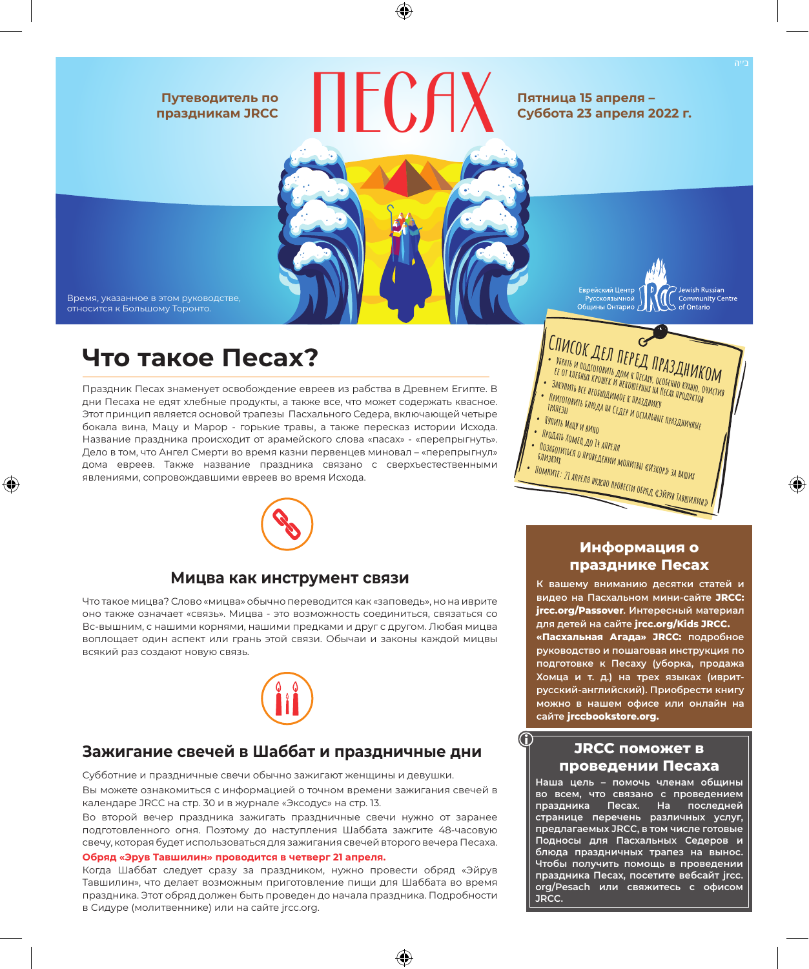#### **Путеводитель по праздникам JRCC**



Время, указанное в этом руководстве, относится к Большому Торонто.

## **Что такое Песах?**

Праздник Песах знаменует освобождение евреев из рабства в Древнем Египте. В дни Песаха не едят хлебные продукты, а также все, что может содержать квасное. Этот принцип является основой трапезы Пасхального Седера, включающей четыре бокала вина, Мацу и Марор - горькие травы, а также пересказ истории Исхода. Название праздника происходит от арамейского слова «пасах» - «перепрыгнуть». Дело в том, что Ангел Смерти во время казни первенцев миновал – «перепрыгнул» дома евреев. Также название праздника связано с сверхъестественными явлениями, сопровождавшими евреев во время Исхода.



#### **Мицва как инструмент связи**

Что такое мицва? Слово «мицва» обычно переводится как «заповедь», но на иврите оно также означает «связь». Мицва - это возможность соединиться, связаться со Вс-вышним, с нашими корнями, нашими предками и друг с другом. Любая мицва воплощает один аспект или грань этой связи. Обычаи и законы каждой мицвы всякий раз создают новую связь.



### **Зажигание свечей в Шаббат и праздничные дни**

Субботние и праздничные свечи обычно зажигают женщины и девушки. Вы можете ознакомиться с информацией о точном времени зажигания свечей в календаре JRCC на стр. 30 и в журнале «Эксодус» на стр. 13.

Во второй вечер праздника зажигать праздничные свечи нужно от заранее подготовленного огня. Поэтому до наступления Шаббата зажгите 48-часовую свечу, которая будет использоваться для зажигания свечей второго вечера Песаха.

#### **Обряд «Эрув Тавшилин» проводится в четверг 21 апреля.**

Когда Шаббат следует сразу за праздником, нужно провести обряд «Эйрув Тавшилин», что делает возможным приготовление пищи для Шаббата во время праздника. Этот обряд должен быть проведен до начала праздника. Подробности в Сидуре (молитвеннике) или на сайте jrcc.org.



Еврейский Центр

<sup>э</sup>vсскоязычной Общины Онтарио

#### **Информация о празднике Песах**

**К вашему вниманию десятки статей и видео на Пасхальном мини-сайте JRCC: jrcc.org/Passover. Интересный материал для детей на сайте jrcc.org/Kids JRCC. «Пасхальная Агада» JRCC: подробное руководство и пошаговая инструкция по подготовке к Песаху (уборка, продажа Хомца и т. д.) на трех языках (ивритрусский-английский). Приобрести книгу можно в нашем офисе или онлайн на сайте jrccbookstore.org.**

### **JRCC поможет в проведении Песаха**

**Наша цель – помочь членам общины во всем, что связано с проведением праздника Песах. На последней странице перечень различных услуг, предлагаемых JRCC, в том числе готовые Подносы для Пасхальных Седеров и блюда праздничных трапез на вынос. Чтобы получить помощь в проведении праздника Песах, посетите вебсайт jrcc. org/Pesach или свяжитесь с офисом JRCC.** 

 $\supset$  Jewish Russian Community Centre

of Ontario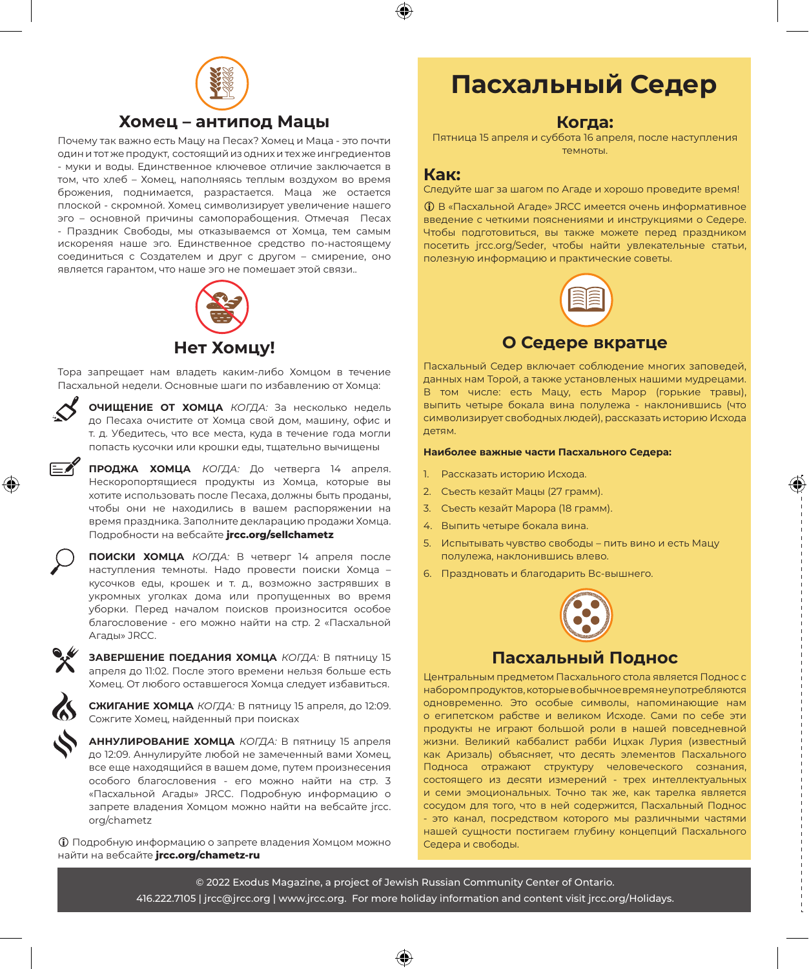

### **Хомец – антипод Мацы**

Почему так важно есть Мацу на Песах? Хомец и Маца - это почти один и тот же продукт, состоящий из одних и тех же ингредиентов - муки и воды. Единственное ключевое отличие заключается в том, что хлеб – Хомец, наполняясь теплым воздухом во время брожения, поднимается, разрастается. Маца же остается плоской - скромной. Хомец символизирует увеличение нашего эго – основной причины самопорабощения. Отмечая Песах - Праздник Свободы, мы отказываемся от Хомца, тем самым искореняя наше эго. Единственное средство по-настоящему соединиться с Создателем и друг с другом – смирение, оно является гарантом, что наше эго не помешает этой связи..



**Нет Хомцу!**

Тора запрещает нам владеть каким-либо Хомцом в течение Пасхальной недели. Основные шаги по избавлению от Хомца:



**ОЧИЩЕНИЕ ОТ ХОМЦА** *КОГДА:* За несколько недель до Песаха очистите от Хомца свой дом, машину, офис и т. д. Убедитесь, что все места, куда в течение года могли попасть кусочки или крошки еды, тщательно вычищены

**ПРОДЖА ХОМЦА** *КОГДА:* До четверга 14 апреля. Нескоропортящиеся продукты из Хомца, которые вы хотите использовать после Песаха, должны быть проданы, чтобы они не находились в вашем распоряжении на время праздника. Заполните декларацию продажи Хомца. Подробности на вебсайте **jrcc.org/sellchametz**



**ПОИСКИ ХОМЦА** *КОГДА:* В четверг 14 апреля после наступления темноты. Надо провести поиски Хомца – кусочков еды, крошек и т. д., возможно застрявших в укромных уголках дома или пропущенных во время уборки. Перед началом поисков произносится особое благословение - его можно найти на стр. 2 «Пасхальной Агады» JRCC.



**ЗАВЕРШЕНИЕ ПОЕДАНИЯ ХОМЦА** *КОГДА:* В пятницу 15 апреля до 11:02. После этого времени нельзя больше есть Хомец. От любого оставшегося Хомца следует избавиться.

**СЖИГАНИЕ ХОМЦА** *КОГДА:* В пятницу 15 апреля, до 12:09. Сожгите Хомец, найденный при поисках

**АННУЛИРОВАНИЕ ХОМЦА** *КОГДА:* В пятницу 15 апреля до 12:09. Аннулируйте любой не замеченный вами Хомец, все еще находящийся в вашем доме, путем произнесения особого благословения - его можно найти на стр. 3 «Пасхальной Агады» JRCC. Подробную информацию о запрете владения Хомцом можно найти на вебсайте jrcc. org/chametz

i Подробную информацию о запрете владения Хомцом можно найти на вебсайте **jrcc.org/chametz-ru**

## **Пасхальный Седер**

#### **Когда:**

Пятница 15 апреля и cуббота 16 апреля, после наступления темноты.

#### **Как:**

Следуйте шаг за шагом по Агаде и хорошо проведите время!

i В «Пасхальной Агаде» JRCC имеется очень информативное введение с четкими пояснениями и инструкциями о Седере. Чтобы подготовиться, вы также можете перед праздником посетить jrcc.org/Seder, чтобы найти увлекательные статьи, полезную информацию и практические советы.



**О Седере вкратце**

Пасхальный Седер включает соблюдение многих заповедей, данных нам Торой, а также установленых нашими мудрецами. В том числе: есть Мацу, есть Марор (горькие травы), выпить четыре бокала вина полулежа - наклонившись (что символизирует свободных людей), рассказать историю Исхода детям.

#### **Наиболее важные части Пасхального Седера:**

- 1. Рассказать историю Исхода.
- 2. Съесть кезайт Мацы (27 грамм).
- 3. Съесть кезайт Марора (18 грамм).
- 4. Выпить четыре бокала вина.
- 5. Испытывать чувство свободы пить вино и есть Мацу полулежа, наклонившись влево.
- 6. Праздновать и благодарить Вс-вышнего.



### **Пасхальный Поднос**

Центральным предметом Пасхального стола является Поднос с набором продуктов, которые в обычное время не употребляются одновременно. Это особые символы, напоминающие нам о египетском рабстве и великом Исходе. Сами по себе эти продукты не играют большой роли в нашей повседневной жизни. Великий каббалист рабби Ицхак Лурия (известный как Аризаль) объясняет, что десять элементов Пасхального Подноса отражают структуру человеческого сознания, состоящего из десяти измерений - трех интеллектуальных и семи эмоциональных. Точно так же, как тарелка является сосудом для того, что в ней содержится, Пасхальный Поднос - это канал, посредством которого мы различными частями нашей сущности постигаем глубину концепций Пасхального Седера и свободы.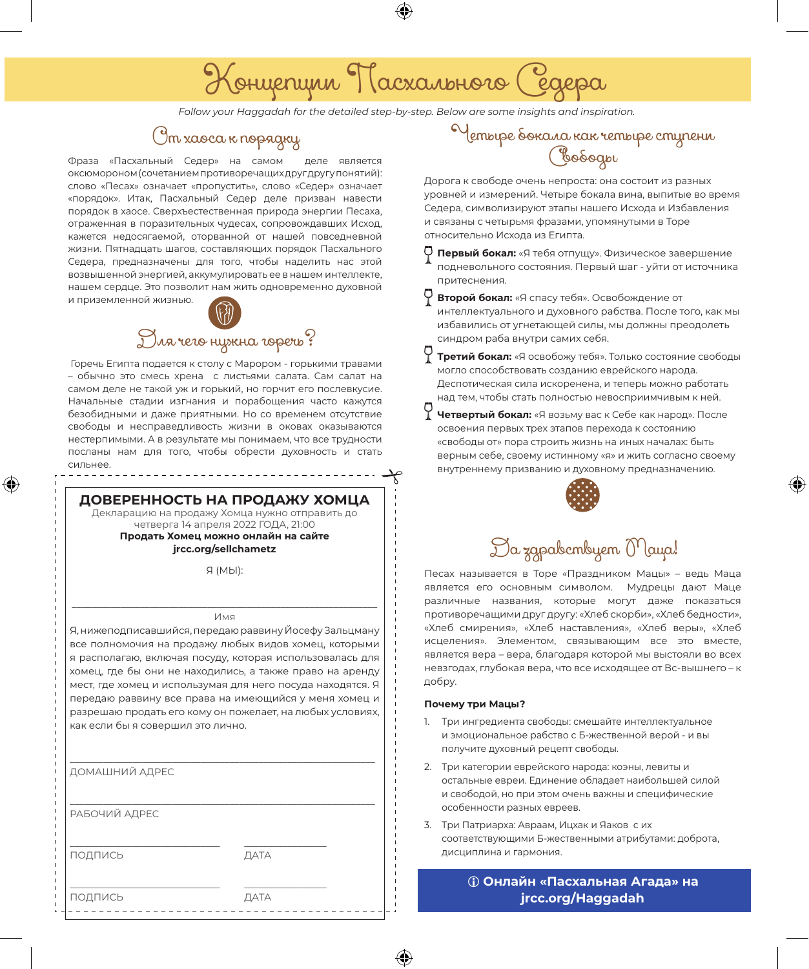# Концепции Пасхального Седера

*Follow your Haggadah for the detailed step-by-step. Below are some insights and inspiration.*

## От хаоса к порядку

Фраза «Пасхальный Седер» на самом деле является оксюмороном (сочетанием противоречащих друг другу понятий): слово «Песах» означает «пропустить», слово «Седер» означает «порядок». Итак, Пасхальный Седер деле призван навести порядок в хаосе. Сверхъестественная природа энергии Песаха, отраженная в поразительных чудесах, сопровождавших Исход, кажется недосягаемой, оторванной от нашей повседневной жизни. Пятнадцать шагов, составляющих порядок Пасхального Седера, предназначены для того, чтобы наделить нас этой возвышенной энергией, аккумулировать ее в нашем интеллекте, нашем сердце. Это позволит нам жить одновременно духовной и приземленной жизнью.



 Горечь Египта подается к столу с Марором - горькими травами – обычно это смесь хрена с листьями салата. Сам салат на самом деле не такой уж и горький, но горчит его послевкусие. Начальные стадии изгнания и порабощения часто кажутся безобидными и даже приятными. Но со временем отсутствие свободы и несправедливость жизни в оковах оказываются нестерпимыми. А в результате мы понимаем, что все трудности посланы нам для того, чтобы обрести духовность и стать сильнее.

**ДОВЕРЕННОСТЬ НА ПРОДАЖУ ХОМЦА**

Декларацию на продажу Хомца нужно отправить до четверга 14 апреля 2022 ГОДА, 21:00

**Продать Хомец можно онлайн на сайте jrcc.org/sellchametz**

Я (МЫ):

#### \_\_\_\_\_\_\_\_\_\_\_\_\_\_\_\_\_\_\_\_\_\_\_\_\_\_\_\_\_\_\_\_\_\_\_\_\_\_\_\_\_\_\_\_\_\_\_\_\_\_\_\_\_\_\_\_\_\_\_\_\_\_\_ Имя

Я, нижеподписавшийся, передаю раввину Йосефу Зальцману все полномочия на продажу любых видов хомец, которыми я располагаю, включая посуду, которая использовалась для хомец, где бы они не находились, а также право на аренду мест, где хомец и использумая для него посуда находятся. Я передаю раввину все права на имеющийся у меня хомец и разрешаю продать его кому он пожелает, на любых условиях, как если бы я совершил это лично.

| ДОМАШНИЙ АДРЕС |      |  |
|----------------|------|--|
| РАБОЧИЙ АДРЕС  |      |  |
| ПОДПИСЬ        | ДАТА |  |
| ПОДПИСЬ        | ДАТА |  |

## Четыре бокала как четыре ступени Свободы

Дорога к свободе очень непроста: она состоит из разных уровней и измерений. Четыре бокала вина, выпитые во время Седера, символизируют этапы нашего Исхода и Избавления и связаны с четырьмя фразами, упомянутыми в Торе относительно Исхода из Египта.

- **Первый бокал:** «Я тебя отпущу». Физическое завершение подневольного состояния. Первый шаг - уйти от источника притеснения.
- **Второй бокал:** «Я спасу тебя». Освобождение от интеллектуального и духовного рабства. После того, как мы избавились от угнетающей силы, мы должны преодолеть синдром раба внутри самих себя.
- **Третий бокал:** «Я освобожу тебя». Только состояние свободы могло способствовать созданию еврейского народа. Деспотическая сила искоренена, и теперь можно работать над тем, чтобы стать полностью невосприимчивым к ней.
- **Четвертый бокал:** «Я возьму вас к Себе как народ». После освоения первых трех этапов перехода к состоянию «свободы от» пора строить жизнь на иных началах: быть верным себе, своему истинному «я» и жить согласно своему внутреннему призванию и духовному предназначению.



## Да здравствует Маца!

Песах называется в Торе «Праздником Мацы» – ведь Маца является его основным символом. Мудрецы дают Маце различные названия, которые могут даже показаться противоречащими друг другу: «Хлеб скорби», «Хлеб бедности», «Хлеб смирения», «Хлеб наставления», «Хлеб веры», «Хлеб исцеления». Элементом, связывающим все это вместе, является вера – вера, благодаря которой мы выстояли во всех невзгодах, глубокая вера, что все исходящее от Вс-вышнего – к добру.

#### **Почему три Мацы?**

- 1. Три ингредиента свободы: смешайте интеллектуальное и эмоциональное рабство с Б-жественной верой - и вы получите духовный рецепт свободы.
- 2. Три категории еврейского народа: коэны, левиты и остальные евреи. Единение обладает наибольшей силой и свободой, но при этом очень важны и специфические особенности разных евреев.
- 3. Три Патриарха: Авраам, Ицхак и Яаков с их соответствующими Б-жественными атрибутами: доброта, дисциплина и гармония.

i **Онлайн «Пасхальная Агада» на jrcc.org/Haggadah**